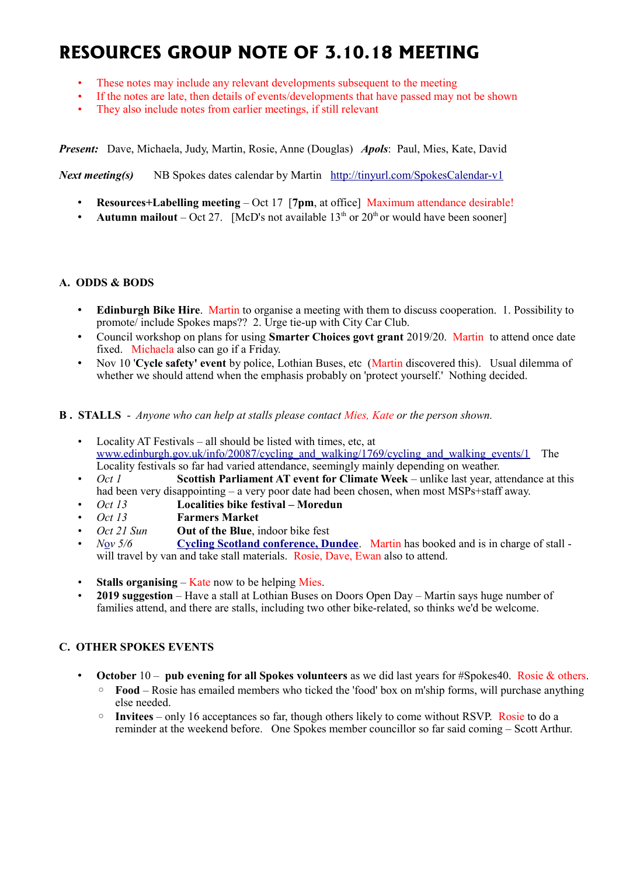# **RESOURCES GROUP NOTE OF 3.10.18 MEETING**

- These notes may include any relevant developments subsequent to the meeting
- If the notes are late, then details of events/developments that have passed may not be shown
- They also include notes from earlier meetings, if still relevant

*Present:* Dave, Michaela, Judy, Martin, Rosie, Anne (Douglas) *Apols*: Paul, Mies, Kate, David

*Next meeting(s)* NB Spokes dates calendar by Martin <http://tinyurl.com/SpokesCalendar-v1>

- **Resources+Labelling meeting** Oct 17 [**7pm**, at office] Maximum attendance desirable!
- **Autumn mailout** Oct 27. [McD's not available  $13<sup>th</sup>$  or  $20<sup>th</sup>$  or would have been sooner]

#### **A. ODDS & BODS**

- **Edinburgh Bike Hire**. Martin to organise a meeting with them to discuss cooperation. 1. Possibility to promote/ include Spokes maps?? 2. Urge tie-up with City Car Club.
- Council workshop on plans for using **Smarter Choices govt grant** 2019/20. Martin to attend once date fixed. Michaela also can go if a Friday.
- Nov 10 '**Cycle safety' event** by police, Lothian Buses, etc (Martin discovered this). Usual dilemma of whether we should attend when the emphasis probably on 'protect yourself.' Nothing decided.

#### **B . STALLS** - *Anyone who can help at stalls please contact Mies, Kate or the person shown.*

- Locality AT Festivals all should be listed with times, etc, at [www.edinburgh.gov.uk/info/20087/cycling\\_and\\_walking/1769/cycling\\_and\\_walking\\_events/1](http://www.edinburgh.gov.uk/info/20087/cycling_and_walking/1769/cycling_and_walking_events/1) The Locality festivals so far had varied attendance, seemingly mainly depending on weather.
- *Oct 1* **Scottish Parliament AT event for Climate Week** unlike last year, attendance at this had been very disappointing – a very poor date had been chosen, when most MSPs+staff away.
- *Oct 13* **Localities bike festival Moredun**
- *Oct 13* **Farmers Market**
- *Oct 21 Sun* **Out of the Blue**, indoor bike fest
- *N*[o](https://www.pathsforall.org.uk/pfa/get-involved/scotlands-national-active-travel-conference.html)*v 5/6* **[Cycling Scotland conference, Dundee](http://mailchi.mp/cycling/early-bird-discount-ends-today-monday-2nd-october-2036965?e=df4f9c501f)**. Martin has booked and is in charge of stall will travel by van and take stall materials. Rosie, Dave, Ewan also to attend.
- **Stalls organising Kate now to be helping Mies.**
- **2019 suggestion** Have a stall at Lothian Buses on Doors Open Day Martin says huge number of families attend, and there are stalls, including two other bike-related, so thinks we'd be welcome.

## **C. OTHER SPOKES EVENTS**

- **October** 10 **pub evening for all Spokes volunteers** as we did last years for #Spokes40. Rosie & others.
	- **Food** Rosie has emailed members who ticked the 'food' box on m'ship forms, will purchase anything else needed.
	- **Invitees** only 16 acceptances so far, though others likely to come without RSVP. Rosie to do a reminder at the weekend before. One Spokes member councillor so far said coming – Scott Arthur.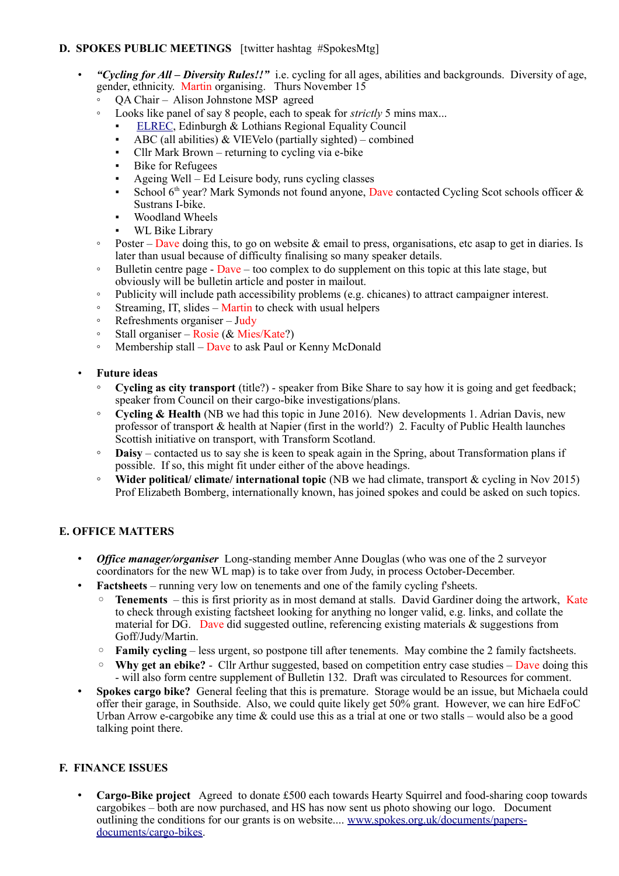# **D. SPOKES PUBLIC MEETINGS** [twitter hashtag #SpokesMtg]

- *"Cycling for All Diversity Rules!!"* i.e. cycling for all ages, abilities and backgrounds. Diversity of age, gender, ethnicity. Martin organising. Thurs November 15
	- QA Chair Alison Johnstone MSP agreed
	- Looks like panel of say 8 people, each to speak for *strictly* 5 mins max...
		- [ELREC,](http://www.elrec.org.uk/) Edinburgh & Lothians Regional Equality Council
		- ABC (all abilities)  $&$  VIEVelo (partially sighted) combined
		- Cllr Mark Brown returning to cycling via e-bike
		- Bike for Refugees
		- Ageing Well Ed Leisure body, runs cycling classes
		- **•** School  $6<sup>th</sup>$  year? Mark Symonds not found anyone, Dave contacted Cycling Scot schools officer  $\&$ Sustrans I-bike.
		- Woodland Wheels
		- WL Bike Library
	- Poster Dave doing this, to go on website & email to press, organisations, etc asap to get in diaries. Is later than usual because of difficulty finalising so many speaker details.
	- $\degree$  Bulletin centre page Dave too complex to do supplement on this topic at this late stage, but obviously will be bulletin article and poster in mailout.
	- Publicity will include path accessibility problems (e.g. chicanes) to attract campaigner interest.
	- Streaming, IT, slides Martin to check with usual helpers
	- Refreshments organiser Judy
	- Stall organiser Rosie ( $& Mies/Kate$ ?)
	- Membership stall Dave to ask Paul or Kenny McDonald

#### • **Future ideas**

- **Cycling as city transport** (title?) speaker from Bike Share to say how it is going and get feedback; speaker from Council on their cargo-bike investigations/plans.
- **Cycling & Health** (NB we had this topic in June 2016). New developments 1. Adrian Davis, new professor of transport & health at Napier (first in the world?) 2. Faculty of Public Health launches Scottish initiative on transport, with Transform Scotland.
- **Daisy** contacted us to say she is keen to speak again in the Spring, about Transformation plans if possible. If so, this might fit under either of the above headings.
- **Wider political/ climate/ international topic** (NB we had climate, transport & cycling in Nov 2015) Prof Elizabeth Bomberg, internationally known, has joined spokes and could be asked on such topics.

## **E. OFFICE MATTERS**

- *Office manager/organiser* Long-standing member Anne Douglas (who was one of the 2 surveyor coordinators for the new WL map) is to take over from Judy, in process October-December.
- **Factsheets** running very low on tenements and one of the family cycling f'sheets.
	- **Tenements**  this is first priority as in most demand at stalls. David Gardiner doing the artwork, Kate to check through existing factsheet looking for anything no longer valid, e.g. links, and collate the material for  $\overrightarrow{DG}$ . Dave did suggested outline, referencing existing materials & suggestions from Goff/Judy/Martin.
	- **Family cycling** less urgent, so postpone till after tenements. May combine the 2 family factsheets.
	- **Why get an ebike?** Cllr Arthur suggested, based on competition entry case studies Dave doing this - will also form centre supplement of Bulletin 132. Draft was circulated to Resources for comment.
- **Spokes cargo bike?** General feeling that this is premature. Storage would be an issue, but Michaela could offer their garage, in Southside. Also, we could quite likely get 50% grant. However, we can hire EdFoC Urban Arrow e-cargobike any time & could use this as a trial at one or two stalls – would also be a good talking point there.

## **F. FINANCE ISSUES**

• **Cargo-Bike project** Agreed to donate £500 each towards Hearty Squirrel and food-sharing coop towards cargobikes – both are now purchased, and HS has now sent us photo showing our logo. Document outlining the conditions for our grants is on website.... [www.spokes.org.uk/documents/papers](http://www.spokes.org.uk/documents/papers-documents/cargo-bikes)[documents/cargo-bikes.](http://www.spokes.org.uk/documents/papers-documents/cargo-bikes)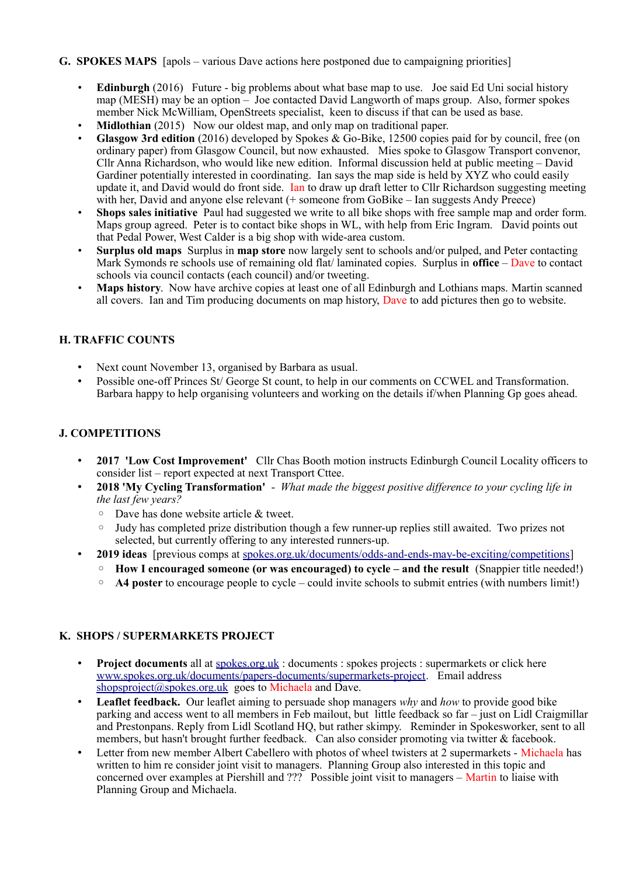#### **G. SPOKES MAPS** [apols – various Dave actions here postponed due to campaigning priorities]

- **Edinburgh** (2016) Future big problems about what base map to use. Joe said Ed Uni social history map (MESH) may be an option – Joe contacted David Langworth of maps group. Also, former spokes member Nick McWilliam, OpenStreets specialist, keen to discuss if that can be used as base.
- **Midlothian** (2015) Now our oldest map, and only map on traditional paper.
- **Glasgow 3rd edition** (2016) developed by Spokes & Go-Bike, 12500 copies paid for by council, free (on ordinary paper) from Glasgow Council, but now exhausted. Mies spoke to Glasgow Transport convenor, Cllr Anna Richardson, who would like new edition. Informal discussion held at public meeting – David Gardiner potentially interested in coordinating. Ian says the map side is held by XYZ who could easily update it, and David would do front side. Ian to draw up draft letter to Cllr Richardson suggesting meeting with her, David and anyone else relevant (+ someone from GoBike – Ian suggests Andy Preece)
- **Shops sales initiative** Paul had suggested we write to all bike shops with free sample map and order form. Maps group agreed. Peter is to contact bike shops in WL, with help from Eric Ingram. David points out that Pedal Power, West Calder is a big shop with wide-area custom.
- **Surplus old maps** Surplus in **map store** now largely sent to schools and/or pulped, and Peter contacting Mark Symonds re schools use of remaining old flat/ laminated copies. Surplus in **office** – Dave to contact schools via council contacts (each council) and/or tweeting.
- **Maps history**. Now have archive copies at least one of all Edinburgh and Lothians maps. Martin scanned all covers. Ian and Tim producing documents on map history, Dave to add pictures then go to website.

## **H. TRAFFIC COUNTS**

- Next count November 13, organised by Barbara as usual.
- Possible one-off Princes St/ George St count, to help in our comments on CCWEL and Transformation. Barbara happy to help organising volunteers and working on the details if/when Planning Gp goes ahead.

#### **J. COMPETITIONS**

- **2017 'Low Cost Improvement'** Cllr Chas Booth motion instructs Edinburgh Council Locality officers to consider list – report expected at next Transport Cttee.
- **2018 'My Cycling Transformation'**  *What made the biggest positive difference to your cycling life in the last few years?*
	- Dave has done website article & tweet.
	- Judy has completed prize distribution though a few runner-up replies still awaited. Two prizes not selected, but currently offering to any interested runners-up.
- **2019 ideas** [previous comps at [spokes.org.uk/documents/odds-and-ends-may-be-exciting/competitions\]](http://www.spokes.org.uk/documents/odds-and-ends-may-be-exciting/competitions/)
	- **How I encouraged someone (or was encouraged) to cycle and the result** (Snappier title needed!)
	- **A4 poster** to encourage people to cycle could invite schools to submit entries (with numbers limit!)

#### **K. SHOPS / SUPERMARKETS PROJECT**

- **Project documents** all at spokes.org.uk: documents : spokes projects : supermarkets or click here [www.spokes.org.uk/documents/papers-documents/supermarkets-project.](http://www.spokes.org.uk/documents/papers-documents/supermarkets-project) Email address [shopsproject@spokes.org.uk](mailto:shopsproject@spokes.org.uk) goes to Michaela and Dave.
- **Leaflet feedback.** Our leaflet aiming to persuade shop managers *why* and *how* to provide good bike parking and access went to all members in Feb mailout, but little feedback so far – just on Lidl Craigmillar and Prestonpans. Reply from Lidl Scotland HQ, but rather skimpy. Reminder in Spokesworker, sent to all members, but hasn't brought further feedback. Can also consider promoting via twitter & facebook.
- Letter from new member Albert Cabellero with photos of wheel twisters at 2 supermarkets Michaela has written to him re consider joint visit to managers. Planning Group also interested in this topic and concerned over examples at Piershill and ??? Possible joint visit to managers – Martin to liaise with Planning Group and Michaela.